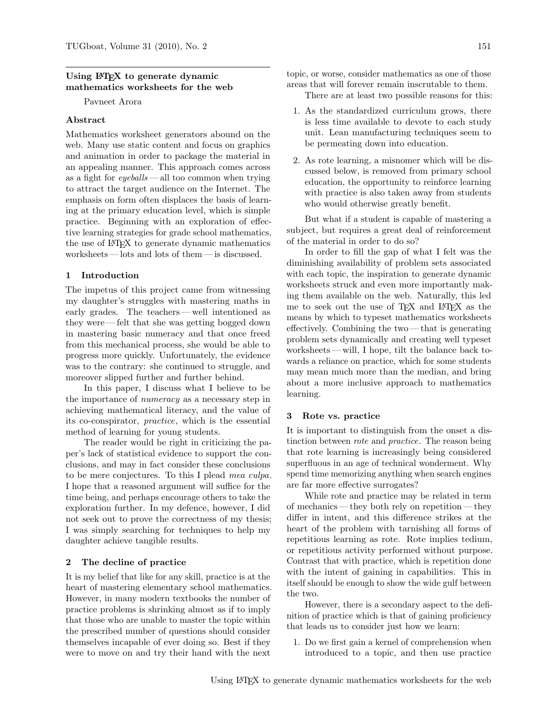# Using LAT<sub>EX</sub> to generate dynamic mathematics worksheets for the web

Pavneet Arora

# Abstract

Mathematics worksheet generators abound on the web. Many use static content and focus on graphics and animation in order to package the material in an appealing manner. This approach comes across as a fight for  $\textit{eyeballs}$  — all too common when trying to attract the target audience on the Internet. The emphasis on form often displaces the basis of learning at the primary education level, which is simple practice. Beginning with an exploration of effective learning strategies for grade school mathematics, the use of LATEX to generate dynamic mathematics  $\rm{works}$  — lots and lots of the<br>m — is discussed.

### 1 Introduction

The impetus of this project came from witnessing my daughter's struggles with mastering maths in early grades. The teachers— well intentioned as they were— felt that she was getting bogged down in mastering basic numeracy and that once freed from this mechanical process, she would be able to progress more quickly. Unfortunately, the evidence was to the contrary: she continued to struggle, and moreover slipped further and further behind.

In this paper, I discuss what I believe to be the importance of numeracy as a necessary step in achieving mathematical literacy, and the value of its co-conspirator, practice, which is the essential method of learning for young students.

The reader would be right in criticizing the paper's lack of statistical evidence to support the conclusions, and may in fact consider these conclusions to be mere conjectures. To this I plead mea culpa. I hope that a reasoned argument will suffice for the time being, and perhaps encourage others to take the exploration further. In my defence, however, I did not seek out to prove the correctness of my thesis; I was simply searching for techniques to help my daughter achieve tangible results.

### 2 The decline of practice

It is my belief that like for any skill, practice is at the heart of mastering elementary school mathematics. However, in many modern textbooks the number of practice problems is shrinking almost as if to imply that those who are unable to master the topic within the prescribed number of questions should consider themselves incapable of ever doing so. Best if they were to move on and try their hand with the next

topic, or worse, consider mathematics as one of those areas that will forever remain inscrutable to them.

There are at least two possible reasons for this:

- 1. As the standardized curriculum grows, there is less time available to devote to each study unit. Lean manufacturing techniques seem to be permeating down into education.
- 2. As rote learning, a misnomer which will be discussed below, is removed from primary school education, the opportunity to reinforce learning with practice is also taken away from students who would otherwise greatly benefit.

But what if a student is capable of mastering a subject, but requires a great deal of reinforcement of the material in order to do so?

In order to fill the gap of what I felt was the diminishing availability of problem sets associated with each topic, the inspiration to generate dynamic worksheets struck and even more importantly making them available on the web. Naturally, this led me to seek out the use of TFX and LATFX as the means by which to typeset mathematics worksheets effectively. Combining the two— that is generating problem sets dynamically and creating well typeset worksheets— will, I hope, tilt the balance back towards a reliance on practice, which for some students may mean much more than the median, and bring about a more inclusive approach to mathematics learning.

### 3 Rote vs. practice

It is important to distinguish from the onset a distinction between *rote* and *practice*. The reason being that rote learning is increasingly being considered superfluous in an age of technical wonderment. Why spend time memorizing anything when search engines are far more effective surrogates?

While rote and practice may be related in term of mechanics— they both rely on repetition— they differ in intent, and this difference strikes at the heart of the problem with tarnishing all forms of repetitious learning as rote. Rote implies tedium, or repetitious activity performed without purpose. Contrast that with practice, which is repetition done with the intent of gaining in capabilities. This in itself should be enough to show the wide gulf between the two.

However, there is a secondary aspect to the definition of practice which is that of gaining proficiency that leads us to consider just how we learn:

1. Do we first gain a kernel of comprehension when introduced to a topic, and then use practice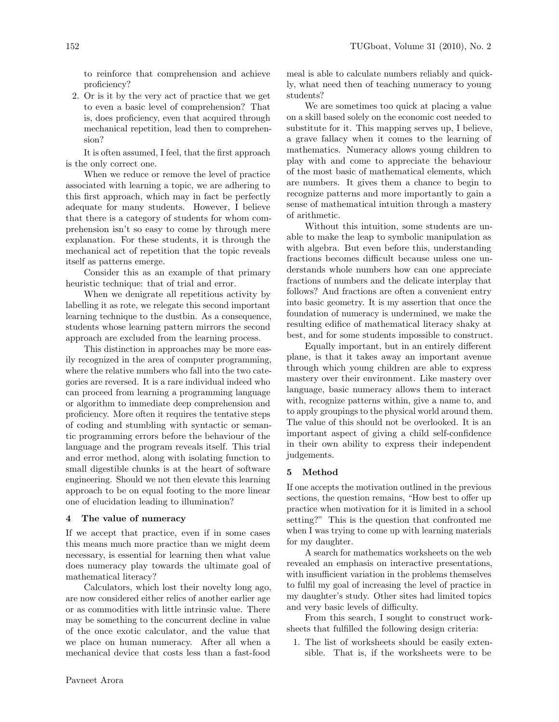to reinforce that comprehension and achieve proficiency?

2. Or is it by the very act of practice that we get to even a basic level of comprehension? That is, does proficiency, even that acquired through mechanical repetition, lead then to comprehension?

It is often assumed, I feel, that the first approach is the only correct one.

When we reduce or remove the level of practice associated with learning a topic, we are adhering to this first approach, which may in fact be perfectly adequate for many students. However, I believe that there is a category of students for whom comprehension isn't so easy to come by through mere explanation. For these students, it is through the mechanical act of repetition that the topic reveals itself as patterns emerge.

Consider this as an example of that primary heuristic technique: that of trial and error.

When we denigrate all repetitious activity by labelling it as rote, we relegate this second important learning technique to the dustbin. As a consequence, students whose learning pattern mirrors the second approach are excluded from the learning process.

This distinction in approaches may be more easily recognized in the area of computer programming, where the relative numbers who fall into the two categories are reversed. It is a rare individual indeed who can proceed from learning a programming language or algorithm to immediate deep comprehension and proficiency. More often it requires the tentative steps of coding and stumbling with syntactic or semantic programming errors before the behaviour of the language and the program reveals itself. This trial and error method, along with isolating function to small digestible chunks is at the heart of software engineering. Should we not then elevate this learning approach to be on equal footing to the more linear one of elucidation leading to illumination?

#### 4 The value of numeracy

If we accept that practice, even if in some cases this means much more practice than we might deem necessary, is essential for learning then what value does numeracy play towards the ultimate goal of mathematical literacy?

Calculators, which lost their novelty long ago, are now considered either relics of another earlier age or as commodities with little intrinsic value. There may be something to the concurrent decline in value of the once exotic calculator, and the value that we place on human numeracy. After all when a mechanical device that costs less than a fast-food

meal is able to calculate numbers reliably and quickly, what need then of teaching numeracy to young students?

We are sometimes too quick at placing a value on a skill based solely on the economic cost needed to substitute for it. This mapping serves up, I believe, a grave fallacy when it comes to the learning of mathematics. Numeracy allows young children to play with and come to appreciate the behaviour of the most basic of mathematical elements, which are numbers. It gives them a chance to begin to recognize patterns and more importantly to gain a sense of mathematical intuition through a mastery of arithmetic.

Without this intuition, some students are unable to make the leap to symbolic manipulation as with algebra. But even before this, understanding fractions becomes difficult because unless one understands whole numbers how can one appreciate fractions of numbers and the delicate interplay that follows? And fractions are often a convenient entry into basic geometry. It is my assertion that once the foundation of numeracy is undermined, we make the resulting edifice of mathematical literacy shaky at best, and for some students impossible to construct.

Equally important, but in an entirely different plane, is that it takes away an important avenue through which young children are able to express mastery over their environment. Like mastery over language, basic numeracy allows them to interact with, recognize patterns within, give a name to, and to apply groupings to the physical world around them. The value of this should not be overlooked. It is an important aspect of giving a child self-confidence in their own ability to express their independent judgements.

#### 5 Method

If one accepts the motivation outlined in the previous sections, the question remains, "How best to offer up practice when motivation for it is limited in a school setting?" This is the question that confronted me when I was trying to come up with learning materials for my daughter.

A search for mathematics worksheets on the web revealed an emphasis on interactive presentations, with insufficient variation in the problems themselves to fulfil my goal of increasing the level of practice in my daughter's study. Other sites had limited topics and very basic levels of difficulty.

From this search, I sought to construct worksheets that fulfilled the following design criteria:

1. The list of worksheets should be easily extensible. That is, if the worksheets were to be